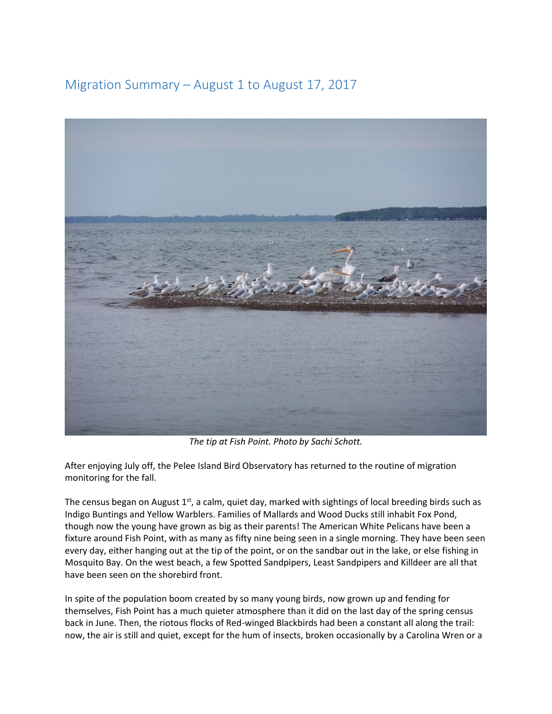## Migration Summary – August 1 to August 17, 2017



*The tip at Fish Point. Photo by Sachi Schott.* 

After enjoying July off, the Pelee Island Bird Observatory has returned to the routine of migration monitoring for the fall.

The census began on August  $1<sup>st</sup>$ , a calm, quiet day, marked with sightings of local breeding birds such as Indigo Buntings and Yellow Warblers. Families of Mallards and Wood Ducks still inhabit Fox Pond, though now the young have grown as big as their parents! The American White Pelicans have been a fixture around Fish Point, with as many as fifty nine being seen in a single morning. They have been seen every day, either hanging out at the tip of the point, or on the sandbar out in the lake, or else fishing in Mosquito Bay. On the west beach, a few Spotted Sandpipers, Least Sandpipers and Killdeer are all that have been seen on the shorebird front.

In spite of the population boom created by so many young birds, now grown up and fending for themselves, Fish Point has a much quieter atmosphere than it did on the last day of the spring census back in June. Then, the riotous flocks of Red-winged Blackbirds had been a constant all along the trail: now, the air is still and quiet, except for the hum of insects, broken occasionally by a Carolina Wren or a